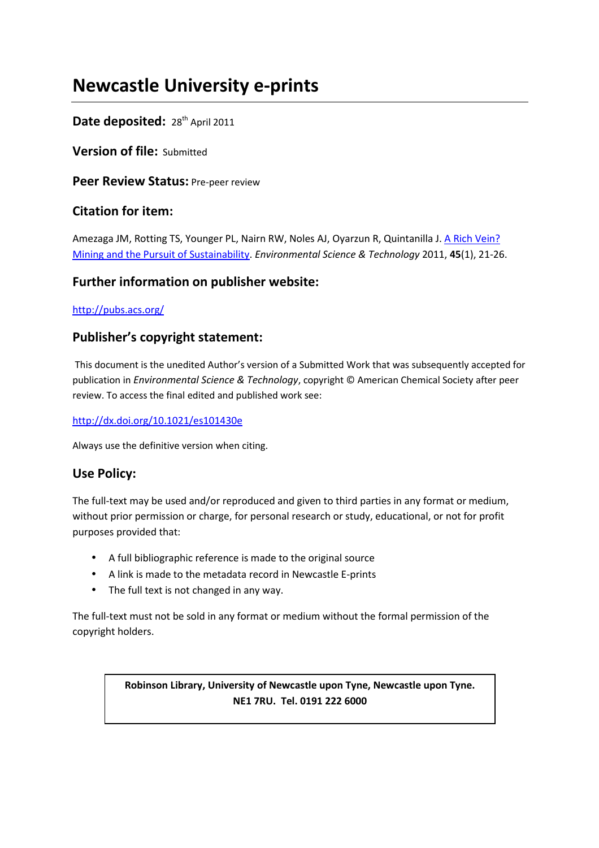# **Newcastle University e-prints**

# Date deposited: 28<sup>th</sup> April 2011

**Version of file:** Submitted

**Peer Review Status: Pre-peer review** 

# **Citation for item:**

Amezaga JM, Rotting TS, Younger PL, Nairn RW, Noles AJ, Oyarzun R, Quintanilla J. A Rich Vein? Mining and the Pursuit of Sustainability. *Environmental Science & Technology* 2011, **45**(1), 21-26.

# **Further information on publisher website:**

## http://pubs.acs.org/

# **Publisher's copyright statement:**

 This document is the unedited Author's version of a Submitted Work that was subsequently accepted for publication in *Environmental Science & Technology*, copyright © American Chemical Society after peer review. To access the final edited and published work see:

## http://dx.doi.org/10.1021/es101430e

Always use the definitive version when citing.

# **Use Policy:**

The full-text may be used and/or reproduced and given to third parties in any format or medium, without prior permission or charge, for personal research or study, educational, or not for profit purposes provided that:

- A full bibliographic reference is made to the original source
- A link is made to the metadata record in Newcastle E-prints
- The full text is not changed in any way.

The full-text must not be sold in any format or medium without the formal permission of the copyright holders.

> **Robinson Library, University of Newcastle upon Tyne, Newcastle upon Tyne. NE1 7RU. Tel. 0191 222 6000**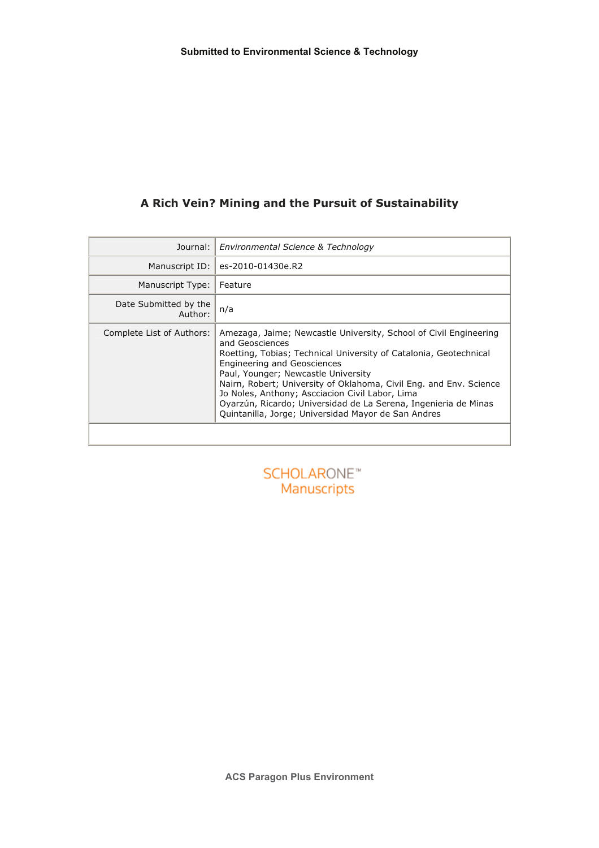# A Rich Vein? Mining and the Pursuit of Sustainability

| Journal:                         | Environmental Science & Technology                                                                                                                                                                                                                                                                                                                                                                                                                                                        |
|----------------------------------|-------------------------------------------------------------------------------------------------------------------------------------------------------------------------------------------------------------------------------------------------------------------------------------------------------------------------------------------------------------------------------------------------------------------------------------------------------------------------------------------|
| Manuscript ID:                   | es-2010-01430e.R2                                                                                                                                                                                                                                                                                                                                                                                                                                                                         |
| Manuscript Type:                 | Feature                                                                                                                                                                                                                                                                                                                                                                                                                                                                                   |
| Date Submitted by the<br>Author: | n/a                                                                                                                                                                                                                                                                                                                                                                                                                                                                                       |
| Complete List of Authors:        | Amezaga, Jaime; Newcastle University, School of Civil Engineering<br>and Geosciences<br>Roetting, Tobias; Technical University of Catalonia, Geotechnical<br><b>Engineering and Geosciences</b><br>Paul, Younger; Newcastle University<br>Nairn, Robert; University of Oklahoma, Civil Eng. and Env. Science<br>Jo Noles, Anthony; Ascciacion Civil Labor, Lima<br>Oyarzún, Ricardo; Universidad de La Serena, Ingenieria de Minas<br>Quintanilla, Jorge; Universidad Mayor de San Andres |

**SCHOLARONE™** Manuscripts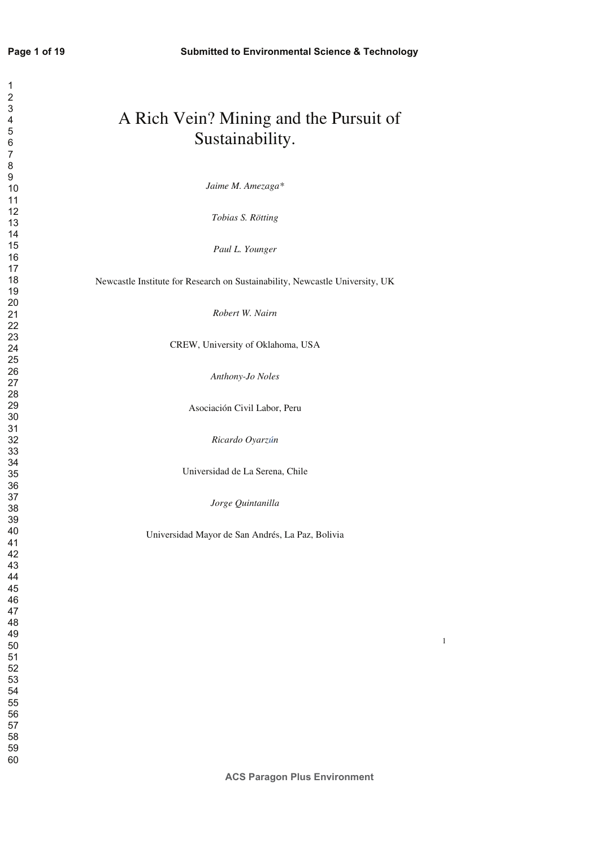| A Rich Vein? Mining and the Pursuit of<br>Sustainability.                    |
|------------------------------------------------------------------------------|
| Jaime M. Amezaga*                                                            |
| Tobias S. Rötting                                                            |
| Paul L. Younger                                                              |
| Newcastle Institute for Research on Sustainability, Newcastle University, UK |
| Robert W. Nairn                                                              |
| CREW, University of Oklahoma, USA                                            |
| Anthony-Jo Noles                                                             |
| Asociación Civil Labor, Peru                                                 |
| Ricardo Oyarzún                                                              |
| Universidad de La Serena, Chile                                              |
| Jorge Quintanilla                                                            |
| Universidad Mayor de San Andrés, La Paz, Bolivia                             |
|                                                                              |
|                                                                              |
|                                                                              |
|                                                                              |
|                                                                              |
|                                                                              |
|                                                                              |

**ACS Paragon Plus Environment**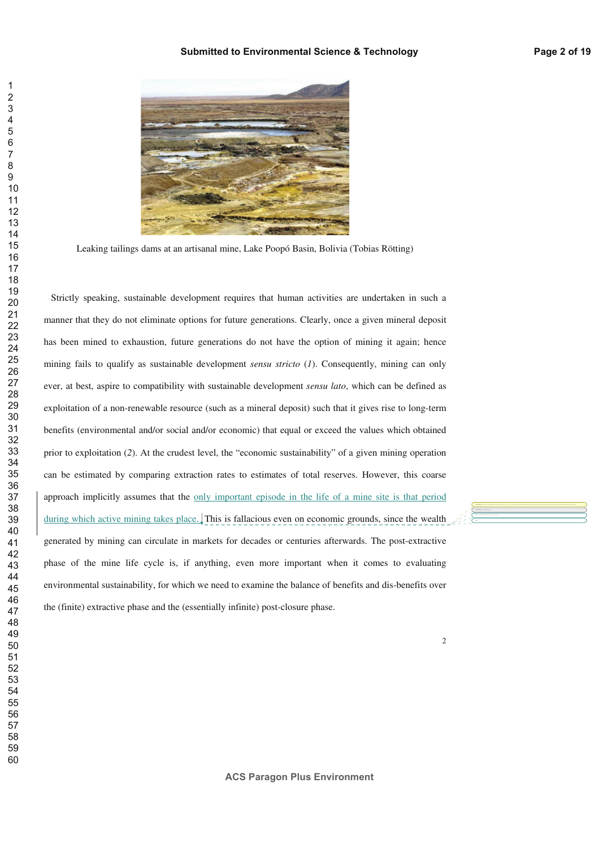

Leaking tailings dams at an artisanal mine, Lake Poopó Basin, Bolivia (Tobias Rötting)

Strictly speaking, sustainable development requires that human activities are undertaken in such a manner that they do not eliminate options for future generations. Clearly, once a given mineral deposit has been mined to exhaustion, future generations do not have the option of mining it again; hence mining fails to qualify as sustainable development *sensu stricto* (*1*). Consequently, mining can only ever, at best, aspire to compatibility with sustainable development *sensu lato*, which can be defined as exploitation of a non-renewable resource (such as a mineral deposit) such that it gives rise to long-term benefits (environmental and/or social and/or economic) that equal or exceed the values which obtained prior to exploitation (*2*). At the crudest level, the "economic sustainability" of a given mining operation can be estimated by comparing extraction rates to estimates of total reserves. However, this coarse approach implicitly assumes that the only important episode in the life of a mine site is that period during which active mining takes place. This is fallacious even on economic grounds, since the wealth generated by mining can circulate in markets for decades or centuries afterwards. The post-extractive phase of the mine life cycle is, if anything, even more important when it comes to evaluating environmental sustainability, for which we need to examine the balance of benefits and dis-benefits over the (finite) extractive phase and the (essentially infinite) post-closure phase.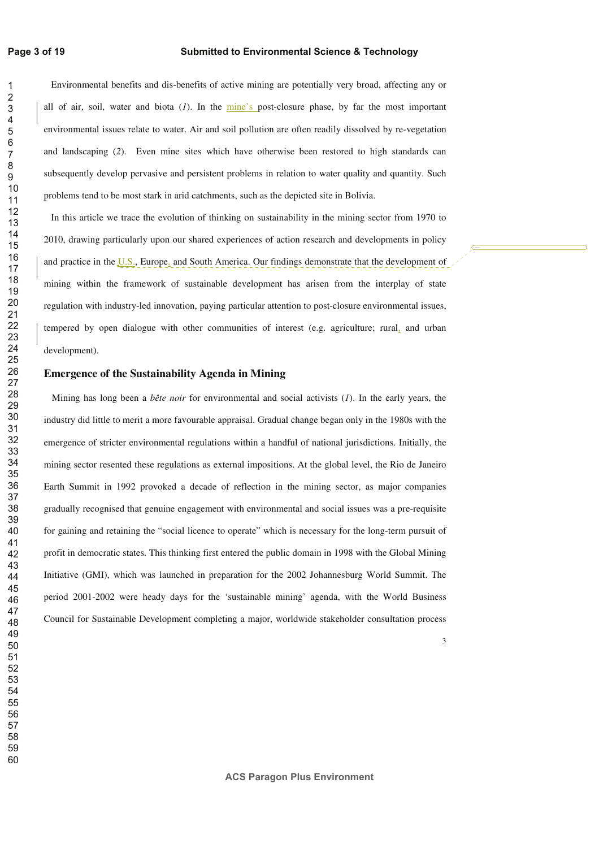#### **Submitted to Environmental Science & Technology**

Environmental benefits and dis-benefits of active mining are potentially very broad, affecting any or all of air, soil, water and biota (*1*). In the mine's post-closure phase, by far the most important environmental issues relate to water. Air and soil pollution are often readily dissolved by re-vegetation and landscaping (*2*). Even mine sites which have otherwise been restored to high standards can subsequently develop pervasive and persistent problems in relation to water quality and quantity. Such problems tend to be most stark in arid catchments, such as the depicted site in Bolivia.

In this article we trace the evolution of thinking on sustainability in the mining sector from 1970 to 2010, drawing particularly upon our shared experiences of action research and developments in policy and practice in the  $\overline{U.S.}$ , Europe, and South America. Our findings demonstrate that the development of mining within the framework of sustainable development has arisen from the interplay of state regulation with industry-led innovation, paying particular attention to post-closure environmental issues, tempered by open dialogue with other communities of interest (e.g. agriculture; rural, and urban development).

#### **Emergence of the Sustainability Agenda in Mining**

Mining has long been a *bête noir* for environmental and social activists (*1*). In the early years, the industry did little to merit a more favourable appraisal. Gradual change began only in the 1980s with the emergence of stricter environmental regulations within a handful of national jurisdictions. Initially, the mining sector resented these regulations as external impositions. At the global level, the Rio de Janeiro Earth Summit in 1992 provoked a decade of reflection in the mining sector, as major companies gradually recognised that genuine engagement with environmental and social issues was a pre-requisite for gaining and retaining the "social licence to operate" which is necessary for the long-term pursuit of profit in democratic states. This thinking first entered the public domain in 1998 with the Global Mining Initiative (GMI), which was launched in preparation for the 2002 Johannesburg World Summit. The period 2001-2002 were heady days for the 'sustainable mining' agenda, with the World Business Council for Sustainable Development completing a major, worldwide stakeholder consultation process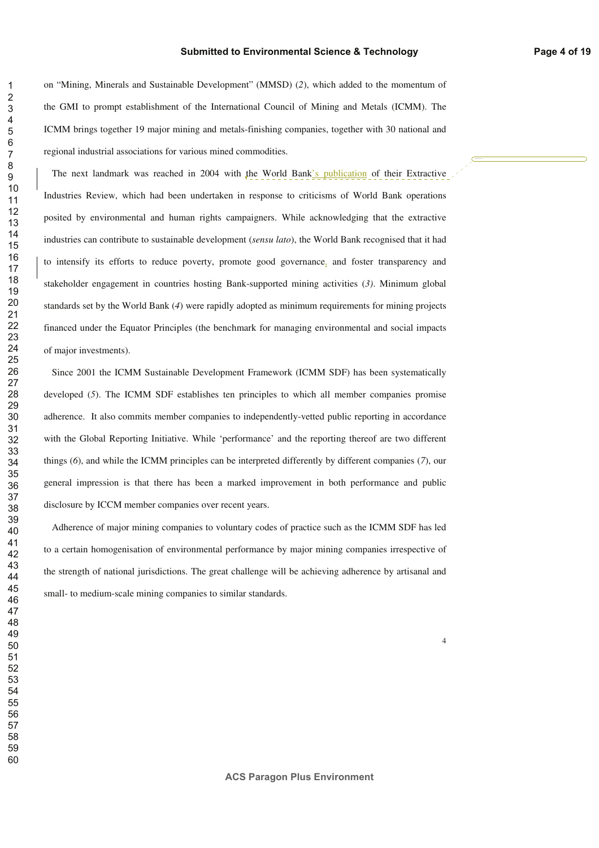on "Mining, Minerals and Sustainable Development" (MMSD) (*2*), which added to the momentum of the GMI to prompt establishment of the International Council of Mining and Metals (ICMM). The ICMM brings together 19 major mining and metals-finishing companies, together with 30 national and regional industrial associations for various mined commodities.

The next landmark was reached in 2004 with the World Bank's publication of their Extractive Industries Review, which had been undertaken in response to criticisms of World Bank operations posited by environmental and human rights campaigners. While acknowledging that the extractive industries can contribute to sustainable development (*sensu lato*), the World Bank recognised that it had to intensify its efforts to reduce poverty, promote good governance, and foster transparency and stakeholder engagement in countries hosting Bank-supported mining activities (*3)*. Minimum global standards set by the World Bank (*4*) were rapidly adopted as minimum requirements for mining projects financed under the Equator Principles (the benchmark for managing environmental and social impacts of major investments).

Since 2001 the ICMM Sustainable Development Framework (ICMM SDF) has been systematically developed (*5*). The ICMM SDF establishes ten principles to which all member companies promise adherence. It also commits member companies to independently-vetted public reporting in accordance with the Global Reporting Initiative. While 'performance' and the reporting thereof are two different things (*6*), and while the ICMM principles can be interpreted differently by different companies (*7*), our general impression is that there has been a marked improvement in both performance and public disclosure by ICCM member companies over recent years.

Adherence of major mining companies to voluntary codes of practice such as the ICMM SDF has led to a certain homogenisation of environmental performance by major mining companies irrespective of the strength of national jurisdictions. The great challenge will be achieving adherence by artisanal and small- to medium-scale mining companies to similar standards.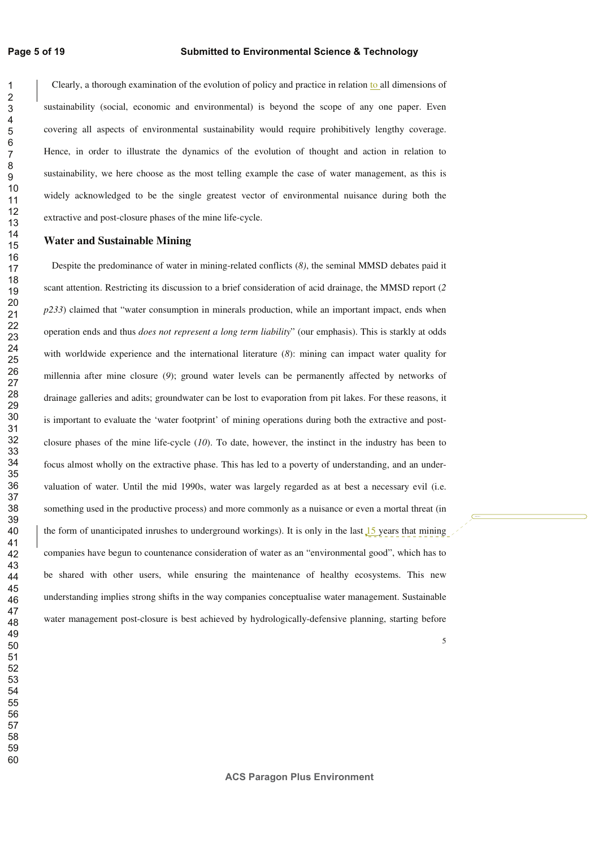Clearly, a thorough examination of the evolution of policy and practice in relation to all dimensions of sustainability (social, economic and environmental) is beyond the scope of any one paper. Even covering all aspects of environmental sustainability would require prohibitively lengthy coverage. Hence, in order to illustrate the dynamics of the evolution of thought and action in relation to sustainability, we here choose as the most telling example the case of water management, as this is widely acknowledged to be the single greatest vector of environmental nuisance during both the extractive and post-closure phases of the mine life-cycle.

#### **Water and Sustainable Mining**

Despite the predominance of water in mining-related conflicts (*8)*, the seminal MMSD debates paid it scant attention. Restricting its discussion to a brief consideration of acid drainage, the MMSD report (*2 p233*) claimed that "water consumption in minerals production, while an important impact, ends when operation ends and thus *does not represent a long term liability*" (our emphasis). This is starkly at odds with worldwide experience and the international literature (*8*): mining can impact water quality for millennia after mine closure (*9*); ground water levels can be permanently affected by networks of drainage galleries and adits; groundwater can be lost to evaporation from pit lakes. For these reasons, it is important to evaluate the 'water footprint' of mining operations during both the extractive and postclosure phases of the mine life-cycle (*10*). To date, however, the instinct in the industry has been to focus almost wholly on the extractive phase. This has led to a poverty of understanding, and an undervaluation of water. Until the mid 1990s, water was largely regarded as at best a necessary evil (i.e. something used in the productive process) and more commonly as a nuisance or even a mortal threat (in the form of unanticipated inrushes to underground workings). It is only in the last years that mining companies have begun to countenance consideration of water as an "environmental good", which has to be shared with other users, while ensuring the maintenance of healthy ecosystems. This new understanding implies strong shifts in the way companies conceptualise water management. Sustainable water management post-closure is best achieved by hydrologically-defensive planning, starting before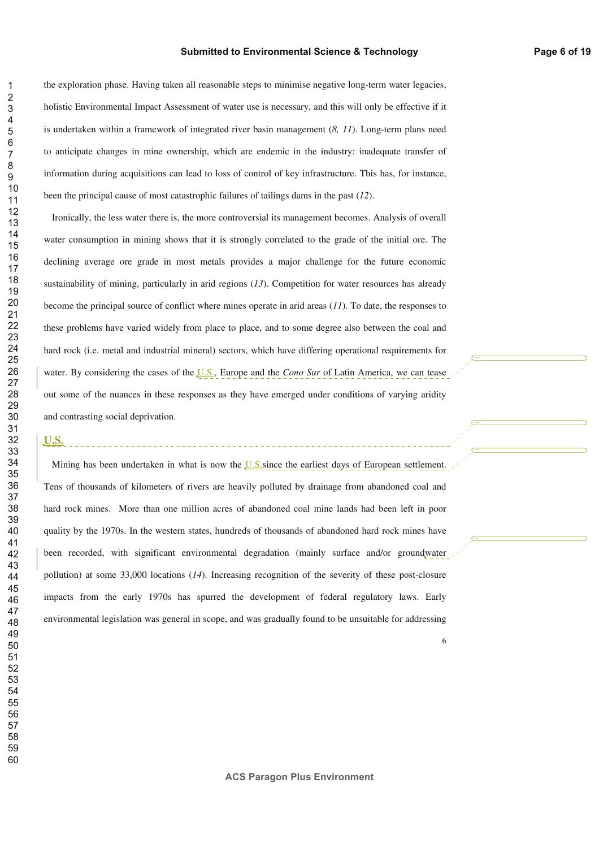the exploration phase. Having taken all reasonable steps to minimise negative long-term water legacies, holistic Environmental Impact Assessment of water use is necessary, and this will only be effective if it is undertaken within a framework of integrated river basin management (*8, 11*). Long-term plans need to anticipate changes in mine ownership, which are endemic in the industry: inadequate transfer of information during acquisitions can lead to loss of control of key infrastructure. This has, for instance, been the principal cause of most catastrophic failures of tailings dams in the past (*12*).

Ironically, the less water there is, the more controversial its management becomes. Analysis of overall water consumption in mining shows that it is strongly correlated to the grade of the initial ore. The declining average ore grade in most metals provides a major challenge for the future economic sustainability of mining, particularly in arid regions (13). Competition for water resources has already become the principal source of conflict where mines operate in arid areas (*11*). To date, the responses to these problems have varied widely from place to place, and to some degree also between the coal and hard rock (i.e. metal and industrial mineral) sectors, which have differing operational requirements for water. By considering the cases of the U.S., Europe and the *Cono Sur* of Latin America, we can tease out some of the nuances in these responses as they have emerged under conditions of varying aridity and contrasting social deprivation.

### **U.S.**

Mining has been undertaken in what is now the U.S. since the earliest days of European settlement. Tens of thousands of kilometers of rivers are heavily polluted by drainage from abandoned coal and hard rock mines. More than one million acres of abandoned coal mine lands had been left in poor quality by the 1970s. In the western states, hundreds of thousands of abandoned hard rock mines have been recorded, with significant environmental degradation (mainly surface and/or groundwater pollution) at some 33,000 locations (*14*). Increasing recognition of the severity of these post-closure impacts from the early 1970s has spurred the development of federal regulatory laws. Early environmental legislation was general in scope, and was gradually found to be unsuitable for addressing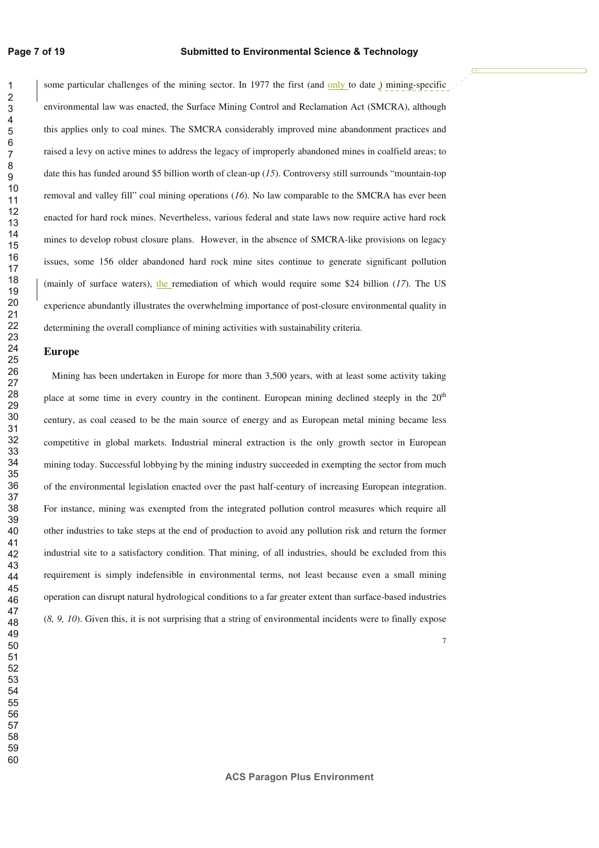some particular challenges of the mining sector. In 1977 the first (and only to date ) mining-specific environmental law was enacted, the Surface Mining Control and Reclamation Act (SMCRA), although this applies only to coal mines. The SMCRA considerably improved mine abandonment practices and raised a levy on active mines to address the legacy of improperly abandoned mines in coalfield areas; to date this has funded around \$5 billion worth of clean-up (*15*). Controversy still surrounds "mountain-top removal and valley fill" coal mining operations (*16*). No law comparable to the SMCRA has ever been enacted for hard rock mines. Nevertheless, various federal and state laws now require active hard rock mines to develop robust closure plans. However, in the absence of SMCRA-like provisions on legacy issues, some 156 older abandoned hard rock mine sites continue to generate significant pollution (mainly of surface waters), the remediation of which would require some \$24 billion (*17*). The US experience abundantly illustrates the overwhelming importance of post-closure environmental quality in determining the overall compliance of mining activities with sustainability criteria.

#### **Europe**

Mining has been undertaken in Europe for more than 3,500 years, with at least some activity taking place at some time in every country in the continent. European mining declined steeply in the  $20<sup>th</sup>$ century, as coal ceased to be the main source of energy and as European metal mining became less competitive in global markets. Industrial mineral extraction is the only growth sector in European mining today. Successful lobbying by the mining industry succeeded in exempting the sector from much of the environmental legislation enacted over the past half-century of increasing European integration. For instance, mining was exempted from the integrated pollution control measures which require all other industries to take steps at the end of production to avoid any pollution risk and return the former industrial site to a satisfactory condition. That mining, of all industries, should be excluded from this requirement is simply indefensible in environmental terms, not least because even a small mining operation can disrupt natural hydrological conditions to a far greater extent than surface-based industries (*8, 9, 10*). Given this, it is not surprising that a string of environmental incidents were to finally expose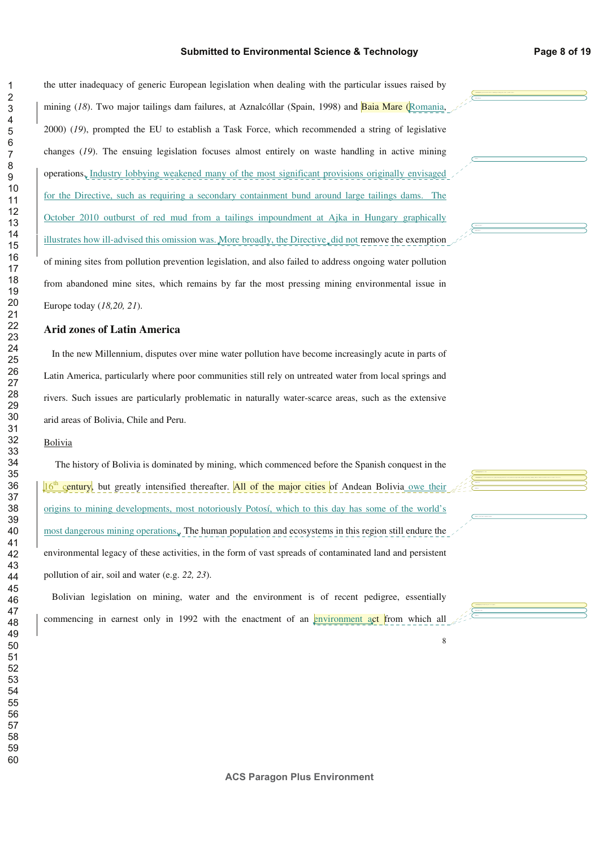the utter inadequacy of generic European legislation when dealing with the particular issues raised by mining (*18*). Two major tailings dam failures, at Aznalcóllar (Spain, 1998) and Baia Mare (Romania, 2000) (*19*), prompted the EU to establish a Task Force, which recommended a string of legislative changes (*19*). The ensuing legislation focuses almost entirely on waste handling in active mining operations. Industry lobbying weakened many of the most significant provisions originally envisaged for the Directive, such as requiring a secondary containment bund around large tailings dams. The October 2010 outburst of red mud from a tailings impoundment at Ajka in Hungary graphically illustrates how ill-advised this omission was. More broadly, the Directive did not remove the exemption of mining sites from pollution prevention legislation, and also failed to address ongoing water pollution from abandoned mine sites, which remains by far the most pressing mining environmental issue in

Europe today (*18,20, 21*).

#### **Arid zones of Latin America**

In the new Millennium, disputes over mine water pollution have become increasingly acute in parts of Latin America, particularly where poor communities still rely on untreated water from local springs and rivers. Such issues are particularly problematic in naturally water-scarce areas, such as the extensive arid areas of Bolivia, Chile and Peru.

#### Bolivia

The history of Bolivia is dominated by mining, which commenced before the Spanish conquest in the 16<sup>th</sup> century, but greatly intensified thereafter. All of the major cities of Andean Bolivia owe their origins to mining developments, most notoriously Potosí, which to this day has some of the world's most dangerous mining operations.. The human population and ecosystems in this region still endure the environmental legacy of these activities, in the form of vast spreads of contaminated land and persistent pollution of air, soil and water (e.g. *22, 23*).

Bolivian legislation on mining, water and the environment is of recent pedigree, essentially commencing in earnest only in 1992 with the enactment of an environment act from which all

**ACS Paragon Plus Environment**

**Deleted:** A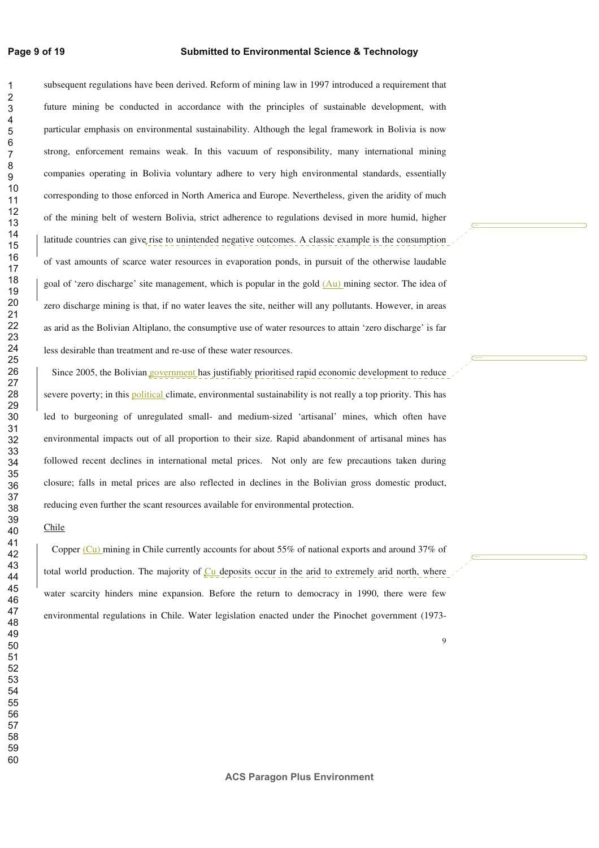#### **Page 9 of 19**

#### **Submitted to Environmental Science & Technology**

subsequent regulations have been derived. Reform of mining law in 1997 introduced a requirement that future mining be conducted in accordance with the principles of sustainable development, with particular emphasis on environmental sustainability. Although the legal framework in Bolivia is now strong, enforcement remains weak. In this vacuum of responsibility, many international mining companies operating in Bolivia voluntary adhere to very high environmental standards, essentially corresponding to those enforced in North America and Europe. Nevertheless, given the aridity of much of the mining belt of western Bolivia, strict adherence to regulations devised in more humid, higher latitude countries can give rise to unintended negative outcomes. A classic example is the consumption of vast amounts of scarce water resources in evaporation ponds, in pursuit of the otherwise laudable goal of 'zero discharge' site management, which is popular in the gold (Au) mining sector. The idea of zero discharge mining is that, if no water leaves the site, neither will any pollutants. However, in areas as arid as the Bolivian Altiplano, the consumptive use of water resources to attain 'zero discharge' is far less desirable than treatment and re-use of these water resources.

Since 2005, the Bolivian government has justifiably prioritised rapid economic development to reduce severe poverty; in this political climate, environmental sustainability is not really a top priority. This has led to burgeoning of unregulated small- and medium-sized 'artisanal' mines, which often have environmental impacts out of all proportion to their size. Rapid abandonment of artisanal mines has followed recent declines in international metal prices. Not only are few precautions taken during closure; falls in metal prices are also reflected in declines in the Bolivian gross domestic product, reducing even further the scant resources available for environmental protection.

#### Chile

Copper (Cu) mining in Chile currently accounts for about 55% of national exports and around 37% of total world production. The majority of  $\mathbb{C}$ u deposits occur in the arid to extremely arid north, where water scarcity hinders mine expansion. Before the return to democracy in 1990, there were few environmental regulations in Chile. Water legislation enacted under the Pinochet government (1973-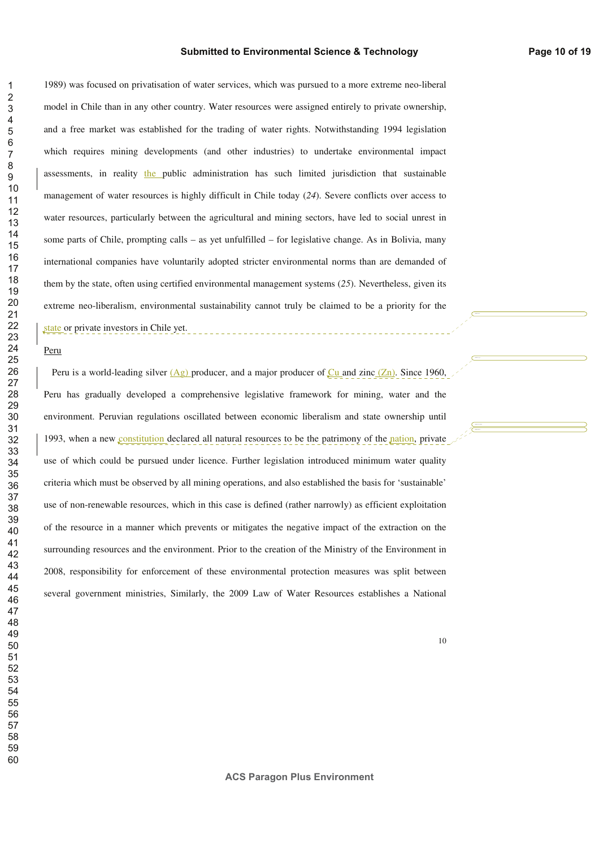1989) was focused on privatisation of water services, which was pursued to a more extreme neo-liberal model in Chile than in any other country. Water resources were assigned entirely to private ownership, and a free market was established for the trading of water rights. Notwithstanding 1994 legislation which requires mining developments (and other industries) to undertake environmental impact assessments, in reality the public administration has such limited jurisdiction that sustainable management of water resources is highly difficult in Chile today (*24*). Severe conflicts over access to water resources, particularly between the agricultural and mining sectors, have led to social unrest in some parts of Chile, prompting calls – as yet unfulfilled – for legislative change. As in Bolivia, many international companies have voluntarily adopted stricter environmental norms than are demanded of them by the state, often using certified environmental management systems (*25*). Nevertheless, given its extreme neo-liberalism, environmental sustainability cannot truly be claimed to be a priority for the state or private investors in Chile yet.

#### Peru

Peru is a world-leading silver  $(Ag)$  producer, and a major producer of Cu and zinc  $(Zn)$ . Since 1960, Peru has gradually developed a comprehensive legislative framework for mining, water and the environment. Peruvian regulations oscillated between economic liberalism and state ownership until 1993, when a new constitution declared all natural resources to be the patrimony of the nation, private use of which could be pursued under licence. Further legislation introduced minimum water quality criteria which must be observed by all mining operations, and also established the basis for 'sustainable' use of non-renewable resources, which in this case is defined (rather narrowly) as efficient exploitation of the resource in a manner which prevents or mitigates the negative impact of the extraction on the surrounding resources and the environment. Prior to the creation of the Ministry of the Environment in 2008, responsibility for enforcement of these environmental protection measures was split between several government ministries, Similarly, the 2009 Law of Water Resources establishes a National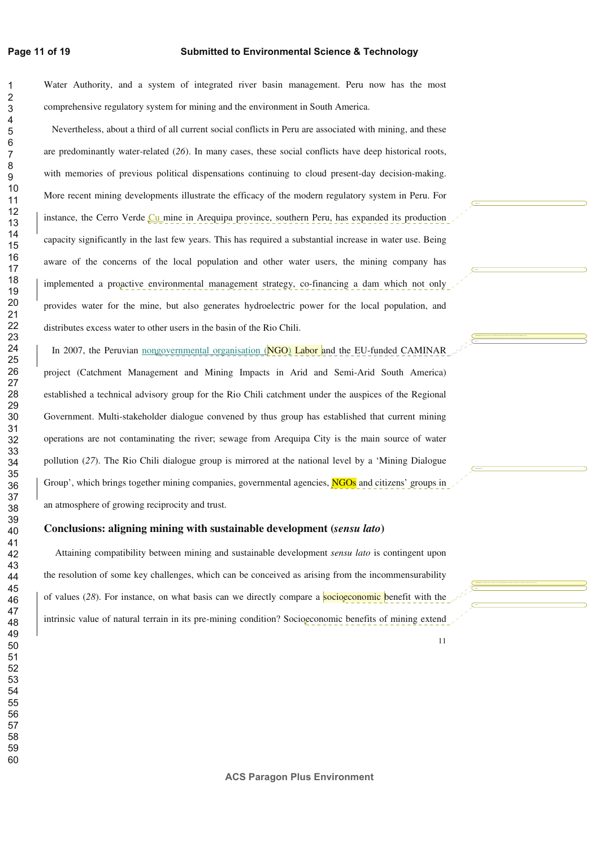#### **Page 11 of 19**

 

#### **Submitted to Environmental Science & Technology**

Water Authority, and a system of integrated river basin management. Peru now has the most comprehensive regulatory system for mining and the environment in South America.

Nevertheless, about a third of all current social conflicts in Peru are associated with mining, and these are predominantly water-related (*26*). In many cases, these social conflicts have deep historical roots, with memories of previous political dispensations continuing to cloud present-day decision-making. More recent mining developments illustrate the efficacy of the modern regulatory system in Peru. For instance, the Cerro Verde Cu mine in Arequipa province, southern Peru, has expanded its production capacity significantly in the last few years. This has required a substantial increase in water use. Being aware of the concerns of the local population and other water users, the mining company has implemented a proactive environmental management strategy, co-financing a dam which not only provides water for the mine, but also generates hydroelectric power for the local population, and distributes excess water to other users in the basin of the Rio Chili.

In 2007, the Peruvian nongovernmental organisation (NGO) Labor and the EU-funded CAMINAR project (Catchment Management and Mining Impacts in Arid and Semi-Arid South America) established a technical advisory group for the Rio Chili catchment under the auspices of the Regional Government. Multi-stakeholder dialogue convened by thus group has established that current mining operations are not contaminating the river; sewage from Arequipa City is the main source of water pollution (*27*). The Rio Chili dialogue group is mirrored at the national level by a 'Mining Dialogue Group', which brings together mining companies, governmental agencies, **NGOs** and citizens' groups in an atmosphere of growing reciprocity and trust.

### **Conclusions: aligning mining with sustainable development (***sensu lato***)**

Attaining compatibility between mining and sustainable development *sensu lato* is contingent upon the resolution of some key challenges, which can be conceived as arising from the incommensurability of values (28). For instance, on what basis can we directly compare a socioeconomic benefit with the intrinsic value of natural terrain in its pre-mining condition? Socioeconomic benefits of mining extend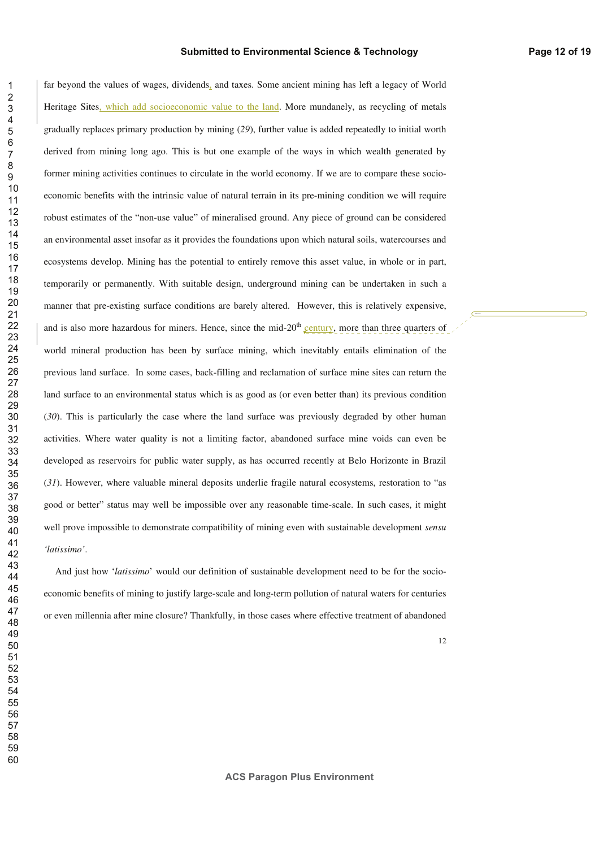far beyond the values of wages, dividends, and taxes. Some ancient mining has left a legacy of World Heritage Sites, which add socioeconomic value to the land. More mundanely, as recycling of metals gradually replaces primary production by mining (*29*), further value is added repeatedly to initial worth derived from mining long ago. This is but one example of the ways in which wealth generated by former mining activities continues to circulate in the world economy. If we are to compare these socioeconomic benefits with the intrinsic value of natural terrain in its pre-mining condition we will require robust estimates of the "non-use value" of mineralised ground. Any piece of ground can be considered an environmental asset insofar as it provides the foundations upon which natural soils, watercourses and ecosystems develop. Mining has the potential to entirely remove this asset value, in whole or in part, temporarily or permanently. With suitable design, underground mining can be undertaken in such a manner that pre-existing surface conditions are barely altered. However, this is relatively expensive, and is also more hazardous for miners. Hence, since the mid-20<sup>th</sup> century, more than three quarters of world mineral production has been by surface mining, which inevitably entails elimination of the previous land surface. In some cases, back-filling and reclamation of surface mine sites can return the land surface to an environmental status which is as good as (or even better than) its previous condition (*30*). This is particularly the case where the land surface was previously degraded by other human activities. Where water quality is not a limiting factor, abandoned surface mine voids can even be developed as reservoirs for public water supply, as has occurred recently at Belo Horizonte in Brazil (*31*). However, where valuable mineral deposits underlie fragile natural ecosystems, restoration to "as good or better" status may well be impossible over any reasonable time-scale. In such cases, it might well prove impossible to demonstrate compatibility of mining even with sustainable development *sensu 'latissimo'*.

And just how '*latissimo*' would our definition of sustainable development need to be for the socioeconomic benefits of mining to justify large-scale and long-term pollution of natural waters for centuries or even millennia after mine closure? Thankfully, in those cases where effective treatment of abandoned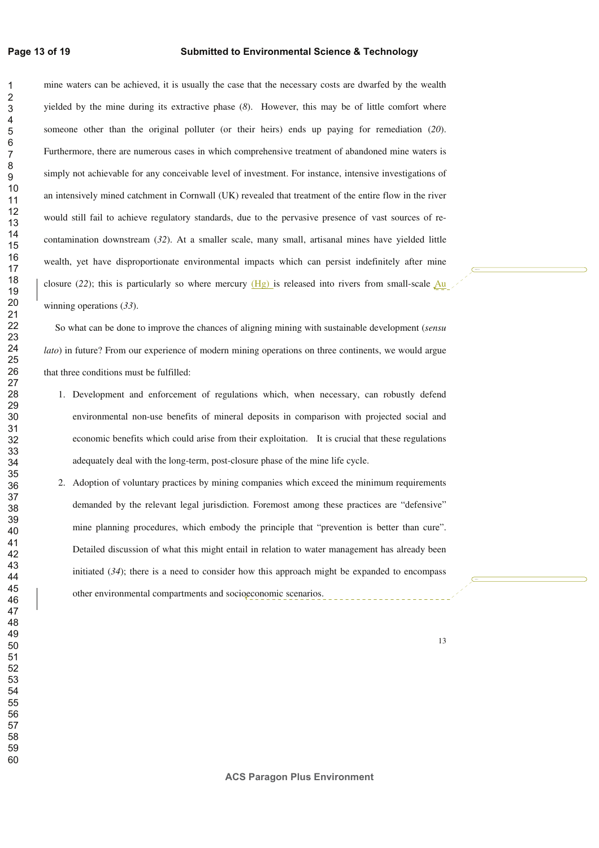#### **Page 13 of 19**

#### **Submitted to Environmental Science & Technology**

mine waters can be achieved, it is usually the case that the necessary costs are dwarfed by the wealth yielded by the mine during its extractive phase (*8*). However, this may be of little comfort where someone other than the original polluter (or their heirs) ends up paying for remediation (*20*). Furthermore, there are numerous cases in which comprehensive treatment of abandoned mine waters is simply not achievable for any conceivable level of investment. For instance, intensive investigations of an intensively mined catchment in Cornwall (UK) revealed that treatment of the entire flow in the river would still fail to achieve regulatory standards, due to the pervasive presence of vast sources of recontamination downstream (*32*). At a smaller scale, many small, artisanal mines have yielded little wealth, yet have disproportionate environmental impacts which can persist indefinitely after mine closure (22); this is particularly so where mercury  $(Hg)$  is released into rivers from small-scale  $Au$ winning operations (*33*).

So what can be done to improve the chances of aligning mining with sustainable development (*sensu lato*) in future? From our experience of modern mining operations on three continents, we would argue that three conditions must be fulfilled:

- 1. Development and enforcement of regulations which, when necessary, can robustly defend environmental non-use benefits of mineral deposits in comparison with projected social and economic benefits which could arise from their exploitation. It is crucial that these regulations adequately deal with the long-term, post-closure phase of the mine life cycle.
- 2. Adoption of voluntary practices by mining companies which exceed the minimum requirements demanded by the relevant legal jurisdiction. Foremost among these practices are "defensive" mine planning procedures, which embody the principle that "prevention is better than cure". Detailed discussion of what this might entail in relation to water management has already been initiated  $(34)$ ; there is a need to consider how this approach might be expanded to encompass other environmental compartments and socioeconomic scenarios.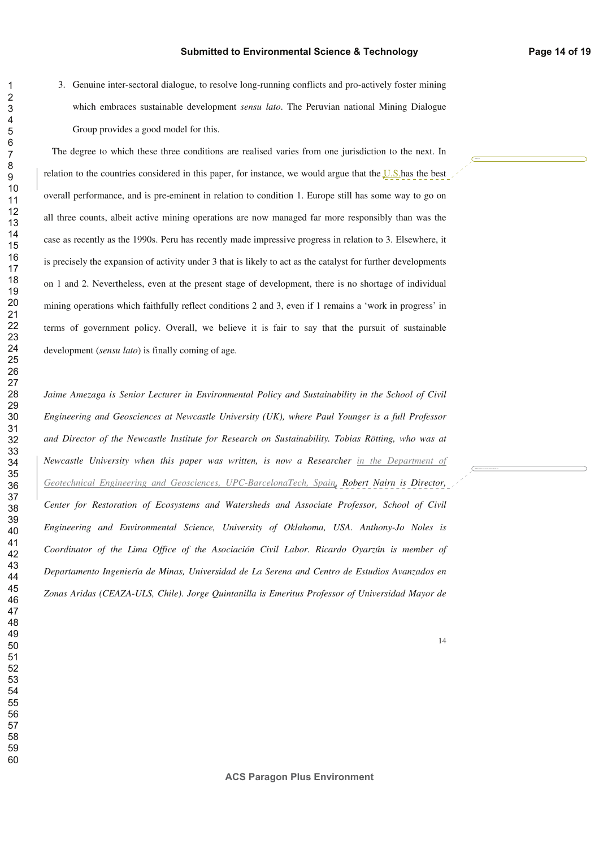3. Genuine inter-sectoral dialogue, to resolve long-running conflicts and pro-actively foster mining which embraces sustainable development *sensu lato*. The Peruvian national Mining Dialogue Group provides a good model for this.

The degree to which these three conditions are realised varies from one jurisdiction to the next. In relation to the countries considered in this paper, for instance, we would argue that the U.S.has the best overall performance, and is pre-eminent in relation to condition 1. Europe still has some way to go on all three counts, albeit active mining operations are now managed far more responsibly than was the case as recently as the 1990s. Peru has recently made impressive progress in relation to 3. Elsewhere, it is precisely the expansion of activity under 3 that is likely to act as the catalyst for further developments on 1 and 2. Nevertheless, even at the present stage of development, there is no shortage of individual mining operations which faithfully reflect conditions 2 and 3, even if 1 remains a 'work in progress' in terms of government policy. Overall, we believe it is fair to say that the pursuit of sustainable development (*sensu lato*) is finally coming of age.

Jaime Amezaga is Senior Lecturer in Environmental Policy and Sustainability in the School of Civil *Engineering and Geosciences at Newcastle University (UK), where Paul Younger is a full Professor and Director of the Newcastle Institute for Research on Sustainability. Tobias Rötting, who was at Newcastle University when this paper was written, is now a Researcher in the Department of Geotechnical Engineering and Geosciences, UPC-BarcelonaTech, Spain. Robert Nairn is Director, Center for Restoration of Ecosystems and Watersheds and Associate Professor, School of Civil Engineering and Environmental Science, University of Oklahoma, USA. Anthony-Jo Noles is Coordinator of the Lima Office of the Asociación Civil Labor. Ricardo Oyarzún is member of Departamento Ingeniería de Minas, Universidad de La Serena and Centro de Estudios Avanzados en Zonas Aridas (CEAZA-ULS, Chile). Jorge Quintanilla is Emeritus Professor of Universidad Mayor de*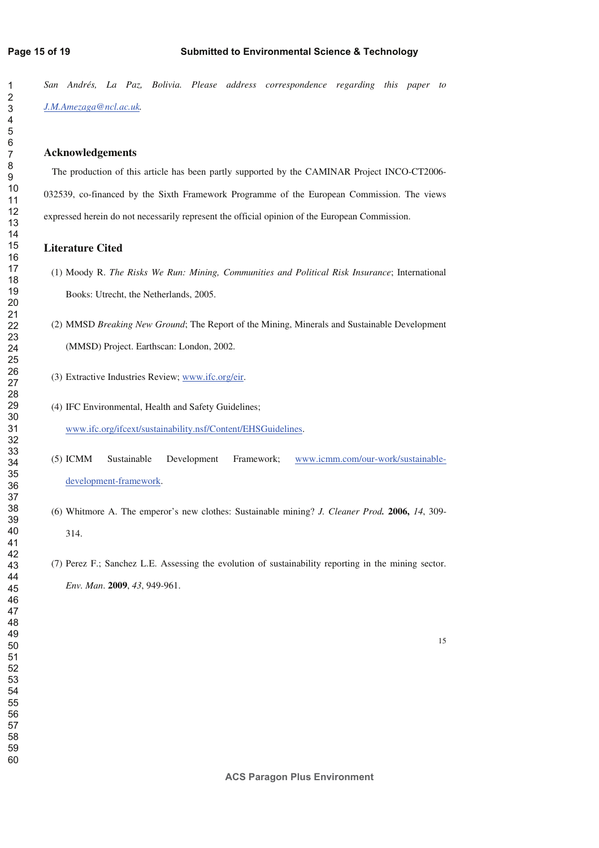*San Andrés, La Paz, Bolivia. Please address correspondence regarding this paper to J.M.Amezaga@ncl.ac.uk.* 

#### **Acknowledgements**

The production of this article has been partly supported by the CAMINAR Project INCO-CT2006- 032539, co-financed by the Sixth Framework Programme of the European Commission. The views expressed herein do not necessarily represent the official opinion of the European Commission.

### **Literature Cited**

- (1) Moody R. *The Risks We Run: Mining, Communities and Political Risk Insurance*; International Books: Utrecht, the Netherlands, 2005.
- (2) MMSD *Breaking New Ground*; The Report of the Mining, Minerals and Sustainable Development (MMSD) Project. Earthscan: London, 2002.
- (3) Extractive Industries Review; www.ifc.org/eir.
- (4) IFC Environmental, Health and Safety Guidelines; www.ifc.org/ifcext/sustainability.nsf/Content/EHSGuidelines.
- (5) ICMM Sustainable Development Framework; www.icmm.com/our-work/sustainabledevelopment-framework.
- (6) Whitmore A. The emperor's new clothes: Sustainable mining? *J. Cleaner Prod.* **2006,** *14*, 309- 314.
- (7) Perez F.; Sanchez L.E. Assessing the evolution of sustainability reporting in the mining sector. *Env. Man*. **2009**, *43*, 949-961.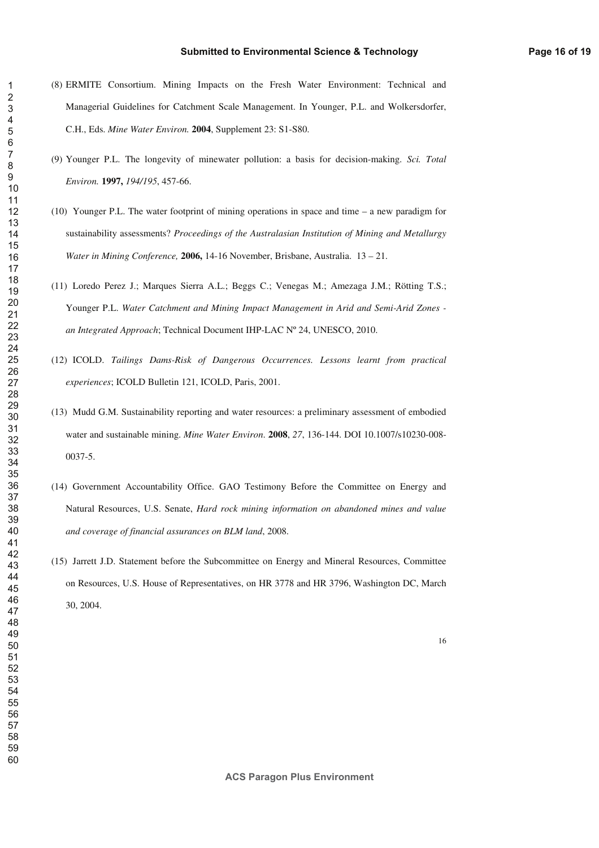#### **Submitted to Environmental Science & Technology**

- (8) ERMITE Consortium. Mining Impacts on the Fresh Water Environment: Technical and Managerial Guidelines for Catchment Scale Management. In Younger, P.L. and Wolkersdorfer, C.H., Eds. *Mine Water Environ.* **2004**, Supplement 23: S1-S80.
- (9) Younger P.L. The longevity of minewater pollution: a basis for decision-making. *Sci. Total Environ.* **1997,** *194/195*, 457-66.
- (10) Younger P.L. The water footprint of mining operations in space and time a new paradigm for sustainability assessments? *Proceedings of the Australasian Institution of Mining and Metallurgy Water in Mining Conference,* **2006,** 14-16 November, Brisbane, Australia. 13 – 21.
- (11) Loredo Perez J.; Marques Sierra A.L.; Beggs C.; Venegas M.; Amezaga J.M.; Rötting T.S.; Younger P.L. *Water Catchment and Mining Impact Management in Arid and Semi-Arid Zones an Integrated Approach*; Technical Document IHP-LAC Nº 24, UNESCO, 2010.
- (12) ICOLD. *Tailings Dams-Risk of Dangerous Occurrences. Lessons learnt from practical experiences*; ICOLD Bulletin 121, ICOLD, Paris, 2001.
- (13) Mudd G.M. Sustainability reporting and water resources: a preliminary assessment of embodied water and sustainable mining. *Mine Water Environ*. **2008**, *27*, 136-144. DOI 10.1007/s10230-008- 0037-5.
- (14) Government Accountability Office. GAO Testimony Before the Committee on Energy and Natural Resources, U.S. Senate, *Hard rock mining information on abandoned mines and value and coverage of financial assurances on BLM land*, 2008.
- (15) Jarrett J.D. Statement before the Subcommittee on Energy and Mineral Resources, Committee on Resources, U.S. House of Representatives, on HR 3778 and HR 3796, Washington DC, March 30, 2004.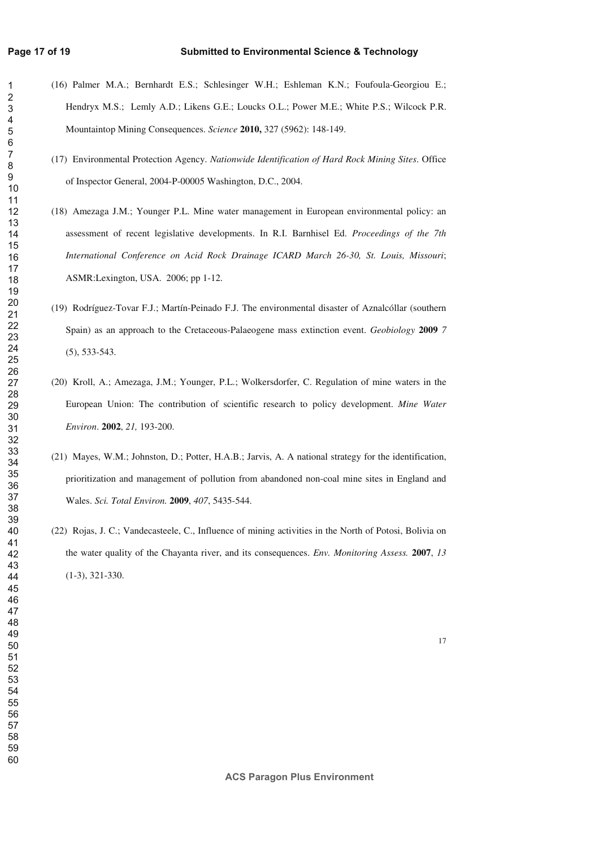- (16) Palmer M.A.; Bernhardt E.S.; Schlesinger W.H.; Eshleman K.N.; Foufoula-Georgiou E.; Hendryx M.S.; Lemly A.D.; Likens G.E.; Loucks O.L.; Power M.E.; White P.S.; Wilcock P.R. Mountaintop Mining Consequences. *Science* **2010,** 327 (5962): 148-149.
	- (17) Environmental Protection Agency. *Nationwide Identification of Hard Rock Mining Sites*. Office of Inspector General, 2004-P-00005 Washington, D.C., 2004.
	- (18) Amezaga J.M.; Younger P.L. Mine water management in European environmental policy: an assessment of recent legislative developments. In R.I. Barnhisel Ed. *Proceedings of the 7th International Conference on Acid Rock Drainage ICARD March 26-30, St. Louis, Missouri*; ASMR:Lexington, USA. 2006; pp 1-12.
	- (19) Rodríguez-Tovar F.J.; Martín-Peinado F.J. The environmental disaster of Aznalcóllar (southern Spain) as an approach to the Cretaceous-Palaeogene mass extinction event. *Geobiology* **2009** *7*  (5), 533-543.
	- (20) Kroll, A.; Amezaga, J.M.; Younger, P.L.; Wolkersdorfer, C. Regulation of mine waters in the European Union: The contribution of scientific research to policy development. *Mine Water Environ*. **2002**, *21,* 193-200.
	- (21) Mayes, W.M.; Johnston, D.; Potter, H.A.B.; Jarvis, A. A national strategy for the identification, prioritization and management of pollution from abandoned non-coal mine sites in England and Wales. *Sci. Total Environ.* **2009**, *407*, 5435-544.
	- (22) Rojas, J. C.; Vandecasteele, C., Influence of mining activities in the North of Potosi, Bolivia on the water quality of the Chayanta river, and its consequences. *Env. Monitoring Assess.* **2007**, *13* (1-3), 321-330.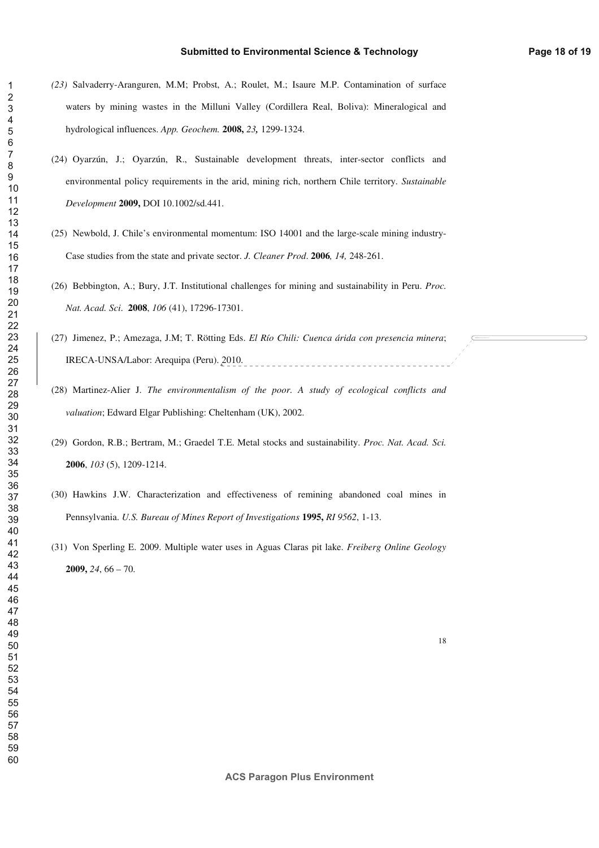- *(23)* Salvaderry-Aranguren, M.M; Probst, A.; Roulet, M.; Isaure M.P. Contamination of surface waters by mining wastes in the Milluni Valley (Cordillera Real, Boliva): Mineralogical and hydrological influences. *App. Geochem.* **2008,** *23,* 1299-1324.
- (24) Oyarzún, J.; Oyarzún, R., Sustainable development threats, inter-sector conflicts and environmental policy requirements in the arid, mining rich, northern Chile territory. *Sustainable Development* **2009,** DOI 10.1002/sd.441.
- (25) Newbold, J. Chile's environmental momentum: ISO 14001 and the large-scale mining industry-Case studies from the state and private sector. *J. Cleaner Prod*. **2006***, 14,* 248-261.
- (26) Bebbington, A.; Bury, J.T. Institutional challenges for mining and sustainability in Peru. *Proc. Nat. Acad. Sci*. **2008**, *106* (41), 17296-17301.
- (27) Jimenez, P.; Amezaga, J.M; T. Rötting Eds. *El Río Chili: Cuenca árida con presencia minera*; IRECA-UNSA/Labor: Arequipa (Peru). 2010. ----------------------
- (28) Martinez-Alier J. *The environmentalism of the poor. A study of ecological conflicts and valuation*; Edward Elgar Publishing: Cheltenham (UK), 2002.
- (29) Gordon, R.B.; Bertram, M.; Graedel T.E. Metal stocks and sustainability. *Proc. Nat. Acad. Sci.* , *103* (5), 1209-1214.
- (30) Hawkins J.W. Characterization and effectiveness of remining abandoned coal mines in Pennsylvania. *U.S. Bureau of Mines Report of Investigations* **1995,** *RI 9562*, 1-13.
- (31) Von Sperling E. 2009. Multiple water uses in Aguas Claras pit lake. *Freiberg Online Geology* **2009,** *24*, 66 – 70.